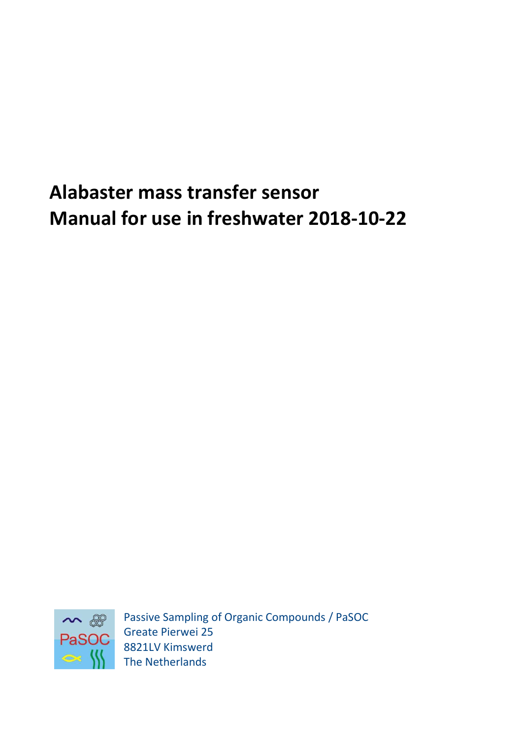# **Alabaster mass transfer sensor Manual for use in freshwater 2018-10-22**



Passive Sampling of Organic Compounds / PaSOC Greate Pierwei 25 8821LV Kimswerd The Netherlands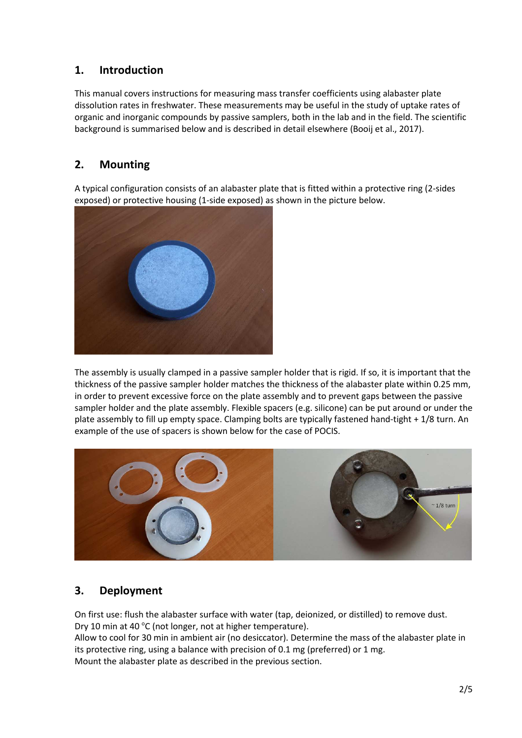## **1. Introduction**

This manual covers instructions for measuring mass transfer coefficients using alabaster plate dissolution rates in freshwater. These measurements may be useful in the study of uptake rates of organic and inorganic compounds by passive samplers, both in the lab and in the field. The scientific background is summarised below and is described in detail elsewhere (Booij et al., 2017).

# **2. Mounting**

A typical configuration consists of an alabaster plate that is fitted within a protective ring (2-sides exposed) or protective housing (1-side exposed) as shown in the picture below.



The assembly is usually clamped in a passive sampler holder that is rigid. If so, it is important that the thickness of the passive sampler holder matches the thickness of the alabaster plate within 0.25 mm, in order to prevent excessive force on the plate assembly and to prevent gaps between the passive sampler holder and the plate assembly. Flexible spacers (e.g. silicone) can be put around or under the plate assembly to fill up empty space. Clamping bolts are typically fastened hand-tight + 1/8 turn. An example of the use of spacers is shown below for the case of POCIS.



# **3. Deployment**

On first use: flush the alabaster surface with water (tap, deionized, or distilled) to remove dust. Dry 10 min at 40 °C (not longer, not at higher temperature). Allow to cool for 30 min in ambient air (no desiccator). Determine the mass of the alabaster plate in its protective ring, using a balance with precision of 0.1 mg (preferred) or 1 mg. Mount the alabaster plate as described in the previous section.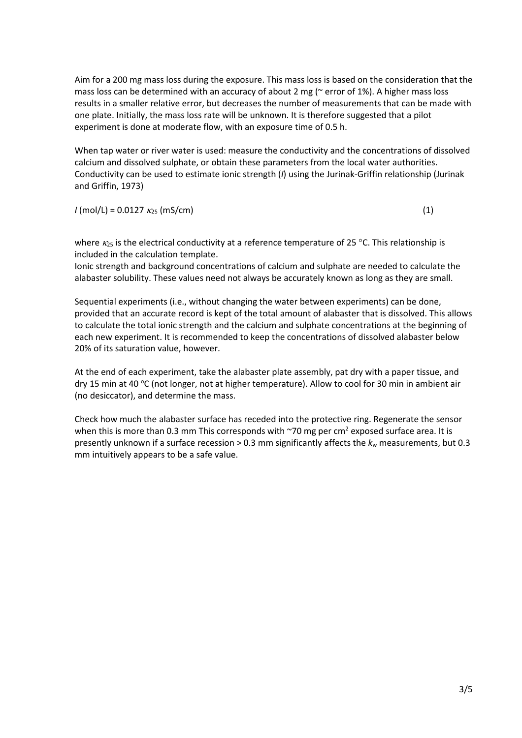Aim for a 200 mg mass loss during the exposure. This mass loss is based on the consideration that the mass loss can be determined with an accuracy of about 2 mg ( $\sim$  error of 1%). A higher mass loss results in a smaller relative error, but decreases the number of measurements that can be made with one plate. Initially, the mass loss rate will be unknown. It is therefore suggested that a pilot experiment is done at moderate flow, with an exposure time of 0.5 h.

When tap water or river water is used: measure the conductivity and the concentrations of dissolved calcium and dissolved sulphate, or obtain these parameters from the local water authorities. Conductivity can be used to estimate ionic strength (*I*) using the Jurinak-Griffin relationship (Jurinak and Griffin, 1973)

 $I \text{ (mol/L)} = 0.0127 \text{ K}_{25} \text{ (mS/cm)}$  (1)

where  $\kappa_{25}$  is the electrical conductivity at a reference temperature of 25 °C. This relationship is included in the calculation template.

Ionic strength and background concentrations of calcium and sulphate are needed to calculate the alabaster solubility. These values need not always be accurately known as long as they are small.

Sequential experiments (i.e., without changing the water between experiments) can be done, provided that an accurate record is kept of the total amount of alabaster that is dissolved. This allows to calculate the total ionic strength and the calcium and sulphate concentrations at the beginning of each new experiment. It is recommended to keep the concentrations of dissolved alabaster below 20% of its saturation value, however.

At the end of each experiment, take the alabaster plate assembly, pat dry with a paper tissue, and dry 15 min at 40 °C (not longer, not at higher temperature). Allow to cool for 30 min in ambient air (no desiccator), and determine the mass.

Check how much the alabaster surface has receded into the protective ring. Regenerate the sensor when this is more than 0.3 mm This corresponds with  $\sim$ 70 mg per cm<sup>2</sup> exposed surface area. It is presently unknown if a surface recession  $> 0.3$  mm significantly affects the  $k<sub>w</sub>$  measurements, but 0.3 mm intuitively appears to be a safe value.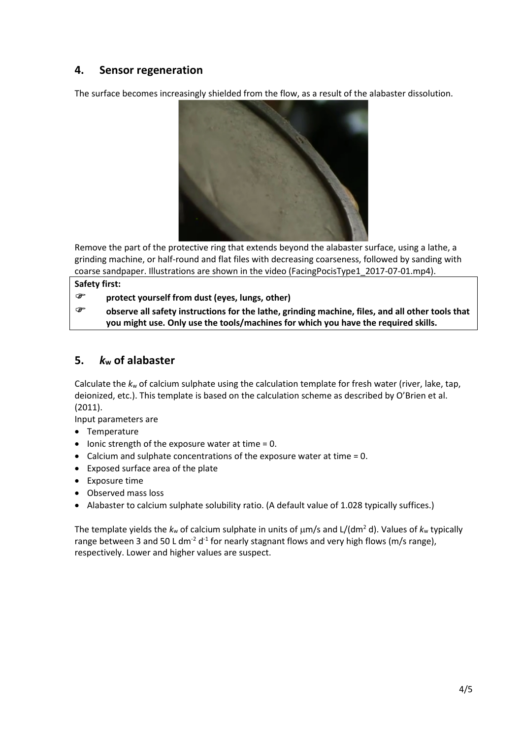## **4. Sensor regeneration**

The surface becomes increasingly shielded from the flow, as a result of the alabaster dissolution.



Remove the part of the protective ring that extends beyond the alabaster surface, using a lathe, a grinding machine, or half-round and flat files with decreasing coarseness, followed by sanding with coarse sandpaper. Illustrations are shown in the video (FacingPocisType1\_2017-07-01.mp4).

**Safety first:** 

**protect yourself from dust (eyes, lungs, other)** 

 **observe all safety instructions for the lathe, grinding machine, files, and all other tools that you might use. Only use the tools/machines for which you have the required skills.** 

### **5.** *k***w of alabaster**

Calculate the *k*w of calcium sulphate using the calculation template for fresh water (river, lake, tap, deionized, etc.). This template is based on the calculation scheme as described by O'Brien et al. (2011).

Input parameters are

- Temperature
- $\bullet$  lonic strength of the exposure water at time = 0.
- Calcium and sulphate concentrations of the exposure water at time  $= 0$ .
- Exposed surface area of the plate
- Exposure time
- Observed mass loss
- Alabaster to calcium sulphate solubility ratio. (A default value of 1.028 typically suffices.)

The template yields the  $k_w$  of calcium sulphate in units of  $\mu$ m/s and L/(dm<sup>2</sup> d). Values of  $k_w$  typically range between 3 and 50 L dm<sup>-2</sup> d<sup>-1</sup> for nearly stagnant flows and very high flows (m/s range), respectively. Lower and higher values are suspect.